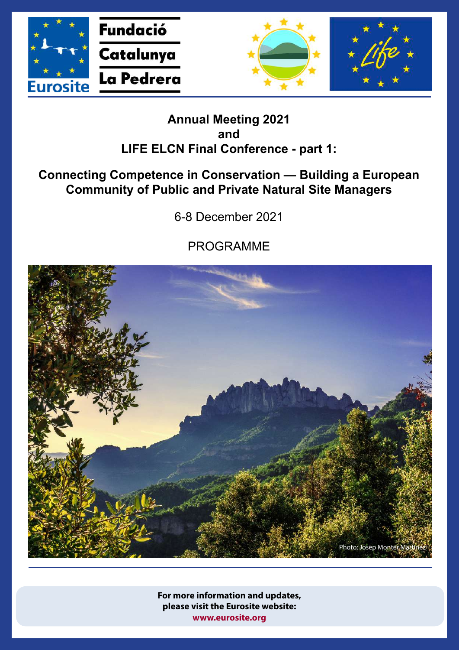



## **Annual Meeting 2021 and LIFE ELCN Final Conference - part 1:**

## **Connecting Competence in Conservation — Building a European Community of Public and Private Natural Site Managers**

6-8 December 2021

PROGRAMME



**For more information and updates, please visit the Eurosite website: [www.eurosite.org](https://www.eurosite.org/events/connecting-competence-in-conservation-building-a-european-community-of-public-and-private-natural-site-managers/)**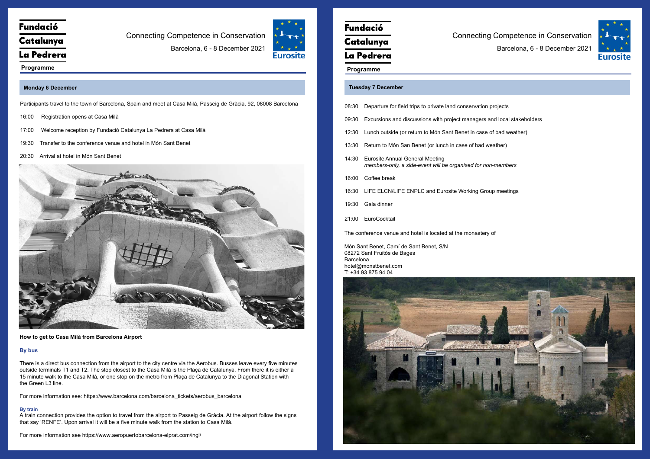# **Fundació**

# Catalunya

La Pedrera

## Connecting Competence in Conservation

Barcelona, 6 - 8 December 2021



# **Fundació** Catalunya La Pedrera

# Connecting Competence in Conservation Barcelona, 6 - 8 December 2021



projects

## **Programme Programme**

### **Tuesday 7 December**

|  |  | 08:30 Departure for field trips to private land conservation |  |
|--|--|--------------------------------------------------------------|--|
|--|--|--------------------------------------------------------------|--|

- 09:30 Excursions and discussions with project managers and local stakeholders
- 12:30 Lunch outside (or return to Món Sant Benet in case of bad weather)
- 13:30 Return to Món San Benet (or lunch in case of bad weather)
- 14:30 Eurosite Annual General Meeting *members-only, a side-event will be organised for non-members*
- 16:00 Coffee break
- 16:30 LIFE ELCN/LIFE ENPLC and Eurosite Working Group meetings
- 19:30 Gala dinner
- 21:00 EuroCocktail
- 16:00 Registration opens at Casa Milà
- 17:00 Welcome reception by Fundació Catalunya La Pedrera at Casa Milà
- 19:30 Transfer to the conference venue and hotel in Món Sant Benet
- 20:30 Arrival at hotel in Món Sant Benet

The conference venue and hotel is located at the monastery of

Món Sant Benet, Camí de Sant Benet, S/N 08272 Sant Fruitós de Bages Barcelona hotel@monstbenet.com T: +34 93 875 94 04



Participants travel to the town of Barcelona, Spain and meet at Casa Milà, Passeig de Gràcia, 92, 08008 Barcelona



**[H](https://www.barcelona-tourist-guide.com/en/airport/transport/barcelona-airport-train.html)ow to get to Casa Milà from Barcelona Airport**

### **[B](https://www.barcelona-tourist-guide.com/en/airport/transport/barcelona-airport-train.html)y bus**

[T](https://www.barcelona-tourist-guide.com/en/airport/transport/barcelona-airport-train.html)here is a direct bus connection from the airport to the city centre via the Aerobus. Busses leave every five minutes outside terminals T1 and T2. The stop closest to the Casa Milà is the Plaça de Catalunya. From there it is either a 15 minute walk to the Casa Milà, or one stop on the metro from Plaça de Catalunya to the Diagonal Station with [th](https://www.barcelona-tourist-guide.com/en/airport/transport/barcelona-airport-train.html)e Green L3 line.

[F](https://www.barcelona-tourist-guide.com/en/airport/transport/barcelona-airport-train.html)or more information see: https://www.barcelona.com/barcelona\_tickets/aerobus\_barcelona

### **By train**

A train connection provides the option to travel from the airport to Passeig de Gràcia. At the airport follow the signs [th](https://www.barcelona-tourist-guide.com/en/airport/transport/barcelona-airport-train.html)at say 'RENFE'. Upon arrival it will be a five minute walk from the station to Casa Milà.

[F](https://www.barcelona-tourist-guide.com/en/airport/transport/barcelona-airport-train.html)or more information see https://www.aeropuertobarcelona-elprat.com/ingl/

### **Monday 6 December**